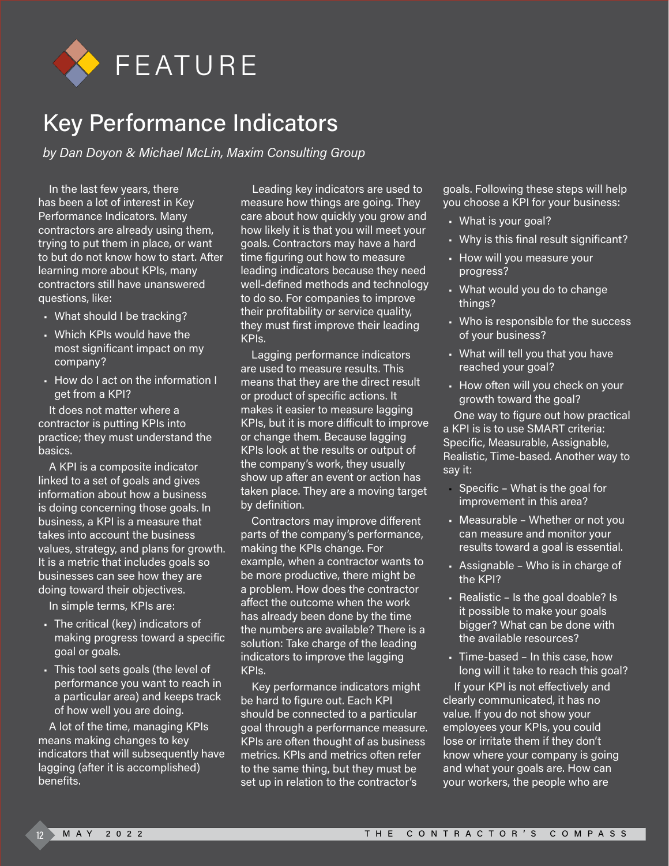

## Key Performance Indicators

*by Dan Doyon & Michael McLin, Maxim Consulting Group*

In the last few years, there has been a lot of interest in Key Performance Indicators. Many contractors are already using them, trying to put them in place, or want to but do not know how to start. After learning more about KPIs, many contractors still have unanswered questions, like:

- What should I be tracking?
- Which KPIs would have the most significant impact on my company?
- How do I act on the information I get from a KPI?

It does not matter where a contractor is putting KPIs into practice; they must understand the basics.

A KPI is a composite indicator linked to a set of goals and gives information about how a business is doing concerning those goals. In business, a KPI is a measure that takes into account the business values, strategy, and plans for growth. It is a metric that includes goals so businesses can see how they are doing toward their objectives.

In simple terms, KPIs are:

- The critical (key) indicators of making progress toward a specific goal or goals.
- This tool sets goals (the level of performance you want to reach in a particular area) and keeps track of how well you are doing.

A lot of the time, managing KPIs means making changes to key indicators that will subsequently have lagging (after it is accomplished) benefits.

Leading key indicators are used to measure how things are going. They care about how quickly you grow and how likely it is that you will meet your goals. Contractors may have a hard time figuring out how to measure leading indicators because they need well-defined methods and technology to do so. For companies to improve their profitability or service quality, they must first improve their leading KPIs.

Lagging performance indicators are used to measure results. This means that they are the direct result or product of specific actions. It makes it easier to measure lagging KPIs, but it is more difficult to improve or change them. Because lagging KPIs look at the results or output of the company's work, they usually show up after an event or action has taken place. They are a moving target by definition.

Contractors may improve different parts of the company's performance, making the KPIs change. For example, when a contractor wants to be more productive, there might be a problem. How does the contractor affect the outcome when the work has already been done by the time the numbers are available? There is a solution: Take charge of the leading indicators to improve the lagging KPIs.

Key performance indicators might be hard to figure out. Each KPI should be connected to a particular goal through a performance measure. KPIs are often thought of as business metrics. KPIs and metrics often refer to the same thing, but they must be set up in relation to the contractor's

goals. Following these steps will help you choose a KPI for your business:

- What is your goal?
- Why is this final result significant?
- How will you measure your progress?
- What would you do to change things?
- Who is responsible for the success of your business?
- What will tell you that you have reached your goal?
- How often will you check on your growth toward the goal?

One way to figure out how practical a KPI is is to use SMART criteria: Specific, Measurable, Assignable, Realistic, Time-based. Another way to say it:

- Specific What is the goal for improvement in this area?
- Measurable Whether or not you can measure and monitor your results toward a goal is essential.
- Assignable Who is in charge of the KPI?
- Realistic Is the goal doable? Is it possible to make your goals bigger? What can be done with the available resources?
- Time-based In this case, how long will it take to reach this goal?

If your KPI is not effectively and clearly communicated, it has no value. If you do not show your employees your KPIs, you could lose or irritate them if they don't know where your company is going and what your goals are. How can your workers, the people who are